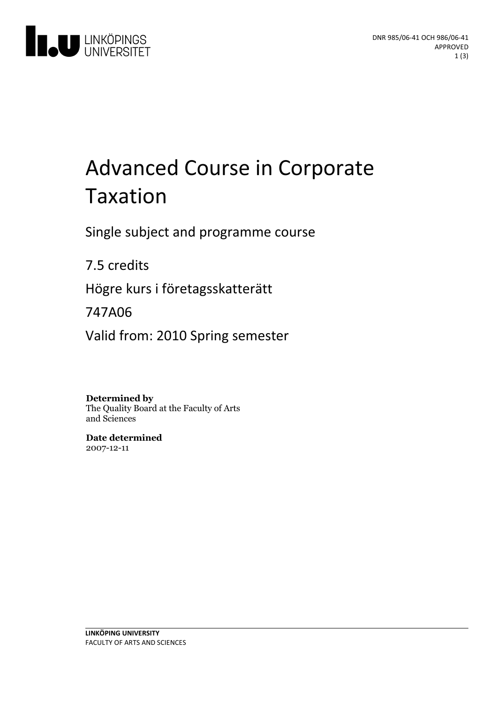

# Advanced Course in Corporate Taxation

Single subject and programme course

7.5 credits

Högre kurs i företagsskatterätt

747A06

Valid from: 2010 Spring semester

**Determined by**

The Quality Board at the Faculty of Arts and Sciences

**Date determined** 2007-12-11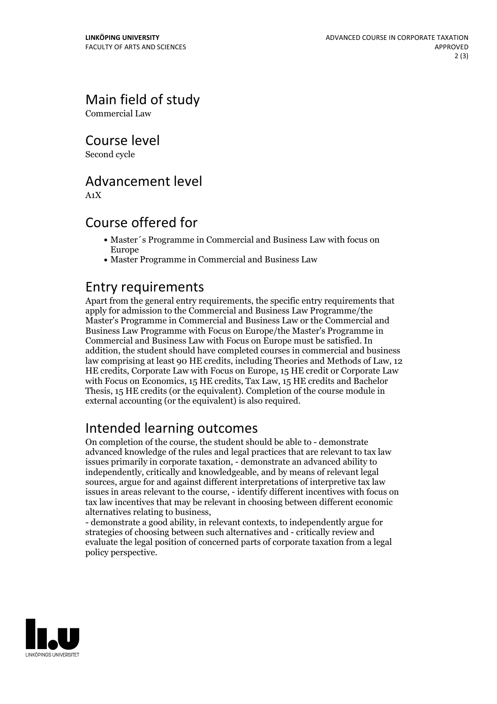Main field of study

Commercial Law

Course level

Second cycle

# Advancement level

A1X

# Course offered for

- Master´s Programme in Commercial and Business Law with focus on Europe
- Master Programme in Commercial and Business Law

# Entry requirements

Apart from the general entry requirements, the specific entry requirements that apply for admission to the Commercial and Business Law Programme/the Master's Programme in Commercial and Business Law or the Commercial and Business Law Programme with Focus on Europe/the Master's Programme in Commercial and Business Law with Focus on Europe must be satisfied. In addition, the student should have completed courses in commercial and business law comprising at least 90 HE credits, including Theories and Methods of Law, 12 HE credits, Corporate Law with Focus on Europe, 15 HE credit or Corporate Law with Focus on Economics, 15 HE credits, Tax Law, 15 HE credits and Bachelor Thesis, 15 HE credits (or the equivalent). Completion of the course module in external accounting (or the equivalent) is also required.

# Intended learning outcomes

On completion of the course, the student should be able to - demonstrate advanced knowledge of the rules and legal practices that are relevant to tax law issues primarily in corporate taxation, - demonstrate an advanced ability to independently, critically and knowledgeable, and by means of relevant legal sources, argue for and against different interpretations of interpretive tax law issues in areas relevant to the course, - identify different incentives with focus on tax law incentives that may be relevant in choosing between different economic

alternatives relating to business, - demonstrate <sup>a</sup> good ability, in relevant contexts, to independently argue for strategies of choosing between such alternatives and - critically review and evaluate the legal position of concerned parts of corporate taxation from a legal policy perspective.